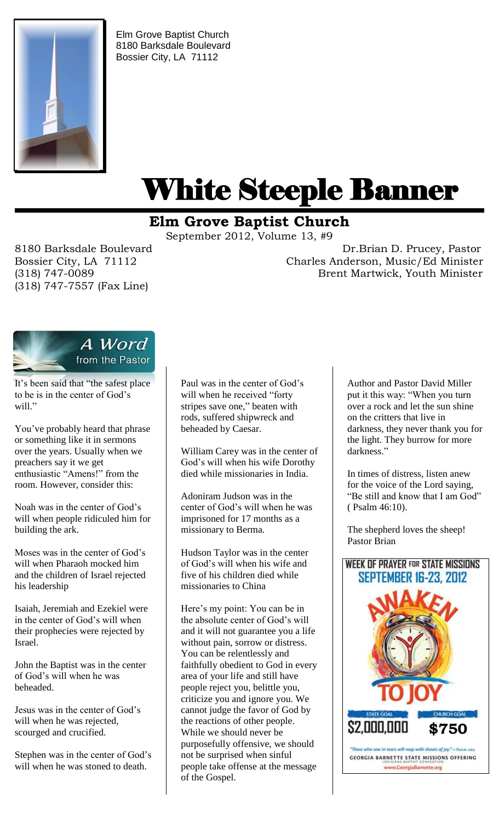

Elm Grove Baptist Church 8180 Barksdale Boulevard Bossier City, LA 71112

# White Steeple Banner ı

# **Elm Grove Baptist Church**

September 2012, Volume 13, #9

(318) 747-7557 (Fax Line)

8180 Barksdale Boulevard Dr.Brian D. Prucey, Pastor Bossier City, LA 71112 Charles Anderson, Music/Ed Minister (318) 747-0089 Brent Martwick, Youth Minister



It's been said that "the safest place to be is in the center of God's will."

You've probably heard that phrase or something like it in sermons over the years. Usually when we preachers say it we get enthusiastic "Amens!" from the room. However, consider this:

Noah was in the center of God's will when people ridiculed him for building the ark.

Moses was in the center of God's will when Pharaoh mocked him and the children of Israel rejected his leadership

Isaiah, Jeremiah and Ezekiel were in the center of God's will when their prophecies were rejected by Israel.

John the Baptist was in the center of God's will when he was beheaded.

Jesus was in the center of God's will when he was rejected, scourged and crucified.

Stephen was in the center of God's will when he was stoned to death.

Paul was in the center of God's will when he received "forty stripes save one," beaten with rods, suffered shipwreck and beheaded by Caesar.

William Carey was in the center of God's will when his wife Dorothy died while missionaries in India.

Adoniram Judson was in the center of God's will when he was imprisoned for 17 months as a missionary to Berma.

Hudson Taylor was in the center of God's will when his wife and five of his children died while missionaries to China

Here's my point: You can be in the absolute center of God's will and it will not guarantee you a life without pain, sorrow or distress. You can be relentlessly and faithfully obedient to God in every area of your life and still have people reject you, belittle you, criticize you and ignore you. We cannot judge the favor of God by the reactions of other people. While we should never be purposefully offensive, we should not be surprised when sinful people take offense at the message of the Gospel.

Author and Pastor David Miller put it this way: "When you turn over a rock and let the sun shine on the critters that live in darkness, they never thank you for the light. They burrow for more darkness."

In times of distress, listen anew for the voice of the Lord saying, "Be still and know that I am God" ( Psalm 46:10).

The shepherd loves the sheep! Pastor Brian

# **WEEK OF PRAYER FOR STATE MISSIONS** SEPTEMBER 16-23, 2012



www.GeorgiaBarnette.org